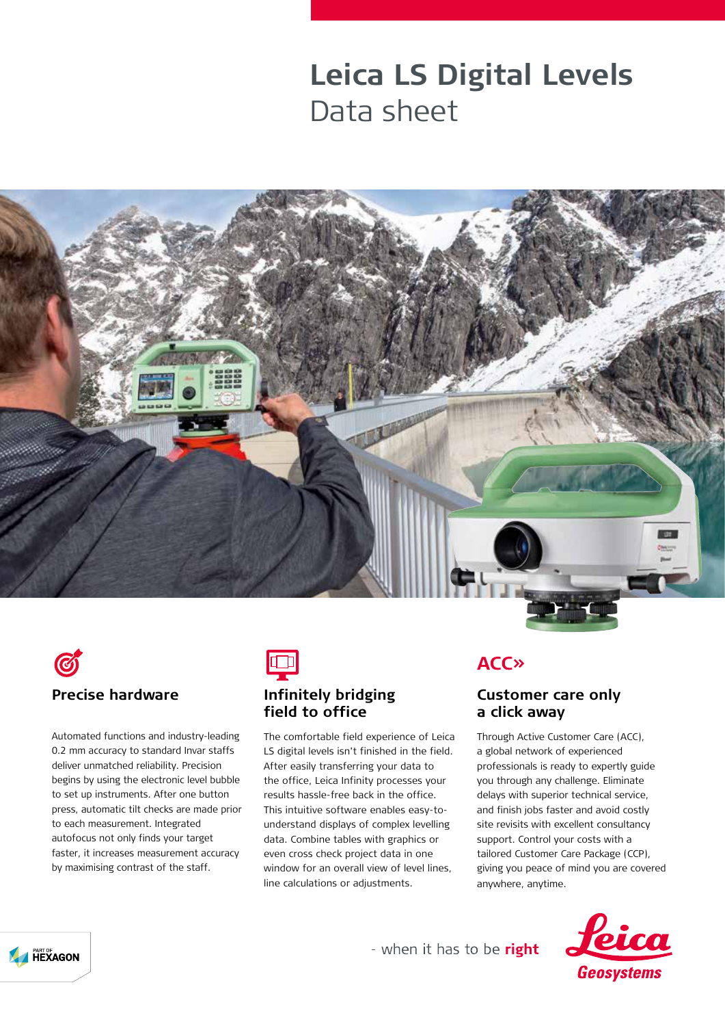## **Leica LS Digital Levels** Data sheet





Automated functions and industry-leading 0.2 mm accuracy to standard Invar staffs deliver unmatched reliability. Precision begins by using the electronic level bubble to set up instruments. After one button press, automatic tilt checks are made prior to each measurement. Integrated autofocus not only finds your target faster, it increases measurement accuracy by maximising contrast of the staff.



### **Infinitely bridging field to office**

The comfortable field experience of Leica LS digital levels isn't finished in the field. After easily transferring your data to the office, Leica Infinity processes your results hassle-free back in the office. This intuitive software enables easy-tounderstand displays of complex levelling data. Combine tables with graphics or even cross check project data in one window for an overall view of level lines. line calculations or adjustments.

### **ACC**<sub>></sub>

#### **Customer care only a click away**

Through Active Customer Care (ACC), a global network of experienced professionals is ready to expertly guide you through any challenge. Eliminate delays with superior technical service, and finish jobs faster and avoid costly site revisits with excellent consultancy support. Control your costs with a tailored Customer Care Package (CCP), giving you peace of mind you are covered anywhere, anytime.





- when it has to be right